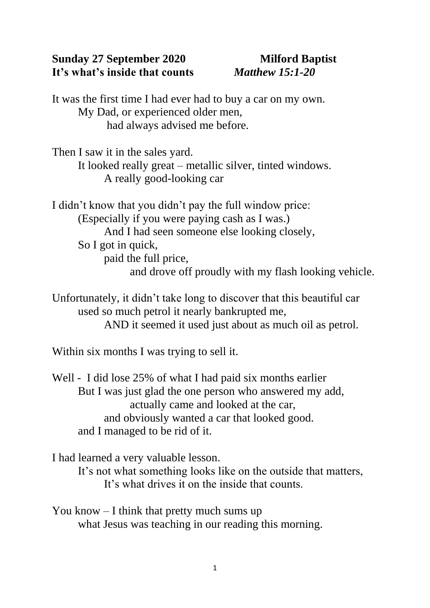## **Sunday 27 September 2020 Milford Baptist It's what's inside that counts** *Matthew 15:1-20*

It was the first time I had ever had to buy a car on my own. My Dad, or experienced older men, had always advised me before.

Then I saw it in the sales yard. It looked really great – metallic silver, tinted windows. A really good-looking car

I didn't know that you didn't pay the full window price: (Especially if you were paying cash as I was.) And I had seen someone else looking closely, So I got in quick, paid the full price, and drove off proudly with my flash looking vehicle.

Unfortunately, it didn't take long to discover that this beautiful car used so much petrol it nearly bankrupted me, AND it seemed it used just about as much oil as petrol.

Within six months I was trying to sell it.

Well - I did lose 25% of what I had paid six months earlier But I was just glad the one person who answered my add, actually came and looked at the car, and obviously wanted a car that looked good. and I managed to be rid of it.

I had learned a very valuable lesson.

It's not what something looks like on the outside that matters, It's what drives it on the inside that counts.

You know – I think that pretty much sums up what Jesus was teaching in our reading this morning.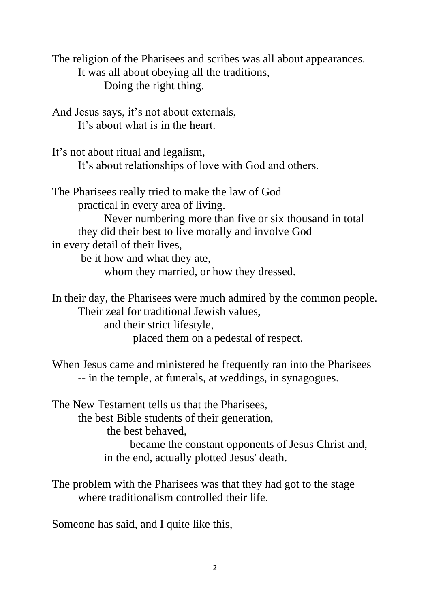The religion of the Pharisees and scribes was all about appearances. It was all about obeying all the traditions, Doing the right thing.

And Jesus says, it's not about externals, It's about what is in the heart.

It's not about ritual and legalism, It's about relationships of love with God and others.

The Pharisees really tried to make the law of God practical in every area of living. Never numbering more than five or six thousand in total they did their best to live morally and involve God in every detail of their lives, be it how and what they ate, whom they married, or how they dressed.

In their day, the Pharisees were much admired by the common people. Their zeal for traditional Jewish values, and their strict lifestyle, placed them on a pedestal of respect.

When Jesus came and ministered he frequently ran into the Pharisees -- in the temple, at funerals, at weddings, in synagogues.

The New Testament tells us that the Pharisees, the best Bible students of their generation, the best behaved, became the constant opponents of Jesus Christ and, in the end, actually plotted Jesus' death.

The problem with the Pharisees was that they had got to the stage where traditionalism controlled their life.

Someone has said, and I quite like this,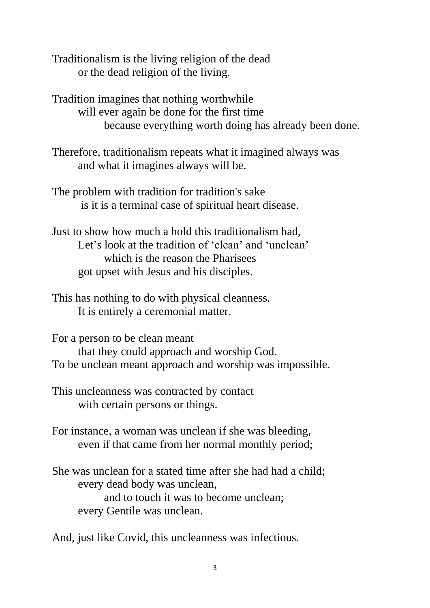Traditionalism is the living religion of the dead or the dead religion of the living.

Tradition imagines that nothing worthwhile will ever again be done for the first time because everything worth doing has already been done.

Therefore, traditionalism repeats what it imagined always was and what it imagines always will be.

The problem with tradition for tradition's sake is it is a terminal case of spiritual heart disease.

Just to show how much a hold this traditionalism had, Let's look at the tradition of 'clean' and 'unclean' which is the reason the Pharisees got upset with Jesus and his disciples.

This has nothing to do with physical cleanness. It is entirely a ceremonial matter.

For a person to be clean meant that they could approach and worship God. To be unclean meant approach and worship was impossible.

This uncleanness was contracted by contact with certain persons or things.

For instance, a woman was unclean if she was bleeding, even if that came from her normal monthly period;

She was unclean for a stated time after she had had a child; every dead body was unclean, and to touch it was to become unclean; every Gentile was unclean.

And, just like Covid, this uncleanness was infectious.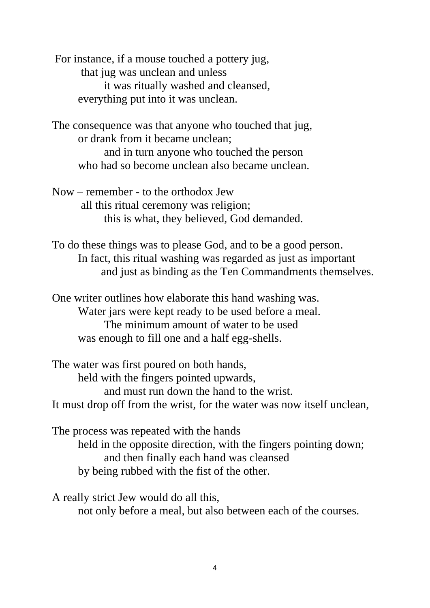For instance, if a mouse touched a pottery jug, that jug was unclean and unless it was ritually washed and cleansed, everything put into it was unclean.

The consequence was that anyone who touched that jug, or drank from it became unclean; and in turn anyone who touched the person who had so become unclean also became unclean.

Now – remember - to the orthodox Jew all this ritual ceremony was religion; this is what, they believed, God demanded.

To do these things was to please God, and to be a good person. In fact, this ritual washing was regarded as just as important and just as binding as the Ten Commandments themselves.

One writer outlines how elaborate this hand washing was. Water jars were kept ready to be used before a meal. The minimum amount of water to be used was enough to fill one and a half egg-shells.

The water was first poured on both hands, held with the fingers pointed upwards, and must run down the hand to the wrist. It must drop off from the wrist, for the water was now itself unclean,

The process was repeated with the hands held in the opposite direction, with the fingers pointing down; and then finally each hand was cleansed by being rubbed with the fist of the other.

A really strict Jew would do all this, not only before a meal, but also between each of the courses.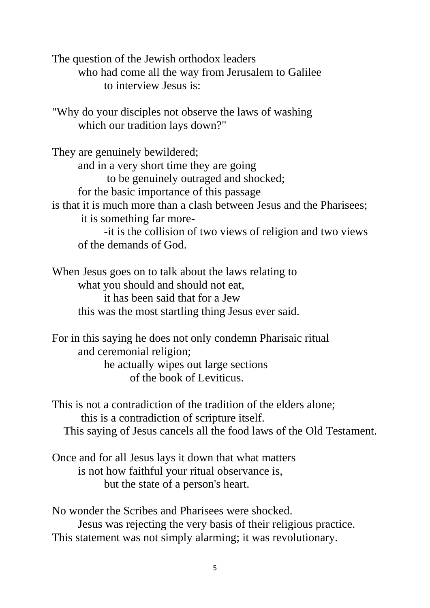The question of the Jewish orthodox leaders who had come all the way from Jerusalem to Galilee to interview Jesus is:

"Why do your disciples not observe the laws of washing which our tradition lays down?"

They are genuinely bewildered; and in a very short time they are going to be genuinely outraged and shocked; for the basic importance of this passage is that it is much more than a clash between Jesus and the Pharisees; it is something far more- -it is the collision of two views of religion and two views of the demands of God.

When Jesus goes on to talk about the laws relating to what you should and should not eat, it has been said that for a Jew this was the most startling thing Jesus ever said.

For in this saying he does not only condemn Pharisaic ritual and ceremonial religion; he actually wipes out large sections

of the book of Leviticus.

This is not a contradiction of the tradition of the elders alone; this is a contradiction of scripture itself. This saying of Jesus cancels all the food laws of the Old Testament.

Once and for all Jesus lays it down that what matters is not how faithful your ritual observance is, but the state of a person's heart.

No wonder the Scribes and Pharisees were shocked. Jesus was rejecting the very basis of their religious practice. This statement was not simply alarming; it was revolutionary.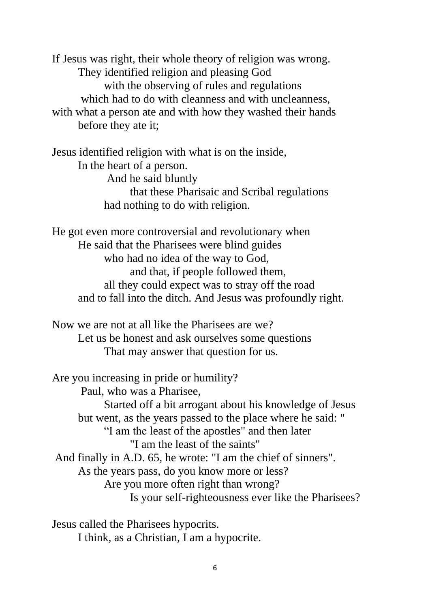If Jesus was right, their whole theory of religion was wrong. They identified religion and pleasing God with the observing of rules and regulations which had to do with cleanness and with uncleanness, with what a person ate and with how they washed their hands before they ate it;

Jesus identified religion with what is on the inside, In the heart of a person. And he said bluntly that these Pharisaic and Scribal regulations had nothing to do with religion.

He got even more controversial and revolutionary when He said that the Pharisees were blind guides who had no idea of the way to God, and that, if people followed them, all they could expect was to stray off the road and to fall into the ditch. And Jesus was profoundly right.

Now we are not at all like the Pharisees are we? Let us be honest and ask ourselves some questions That may answer that question for us.

Are you increasing in pride or humility? Paul, who was a Pharisee, Started off a bit arrogant about his knowledge of Jesus but went, as the years passed to the place where he said: " "I am the least of the apostles" and then later "I am the least of the saints" And finally in A.D. 65, he wrote: "I am the chief of sinners". As the years pass, do you know more or less? Are you more often right than wrong? Is your self-righteousness ever like the Pharisees?

Jesus called the Pharisees hypocrits. I think, as a Christian, I am a hypocrite.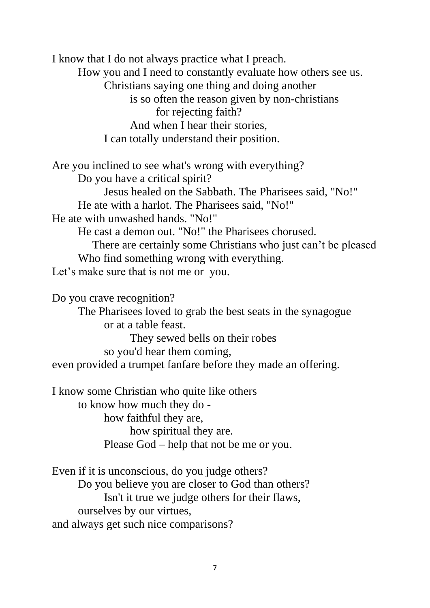I know that I do not always practice what I preach. How you and I need to constantly evaluate how others see us. Christians saying one thing and doing another is so often the reason given by non-christians for rejecting faith? And when I hear their stories, I can totally understand their position.

Are you inclined to see what's wrong with everything? Do you have a critical spirit? Jesus healed on the Sabbath. The Pharisees said, "No!" He ate with a harlot. The Pharisees said, "No!" He ate with unwashed hands. "No!" He cast a demon out. "No!" the Pharisees chorused. There are certainly some Christians who just can't be pleased Who find something wrong with everything. Let's make sure that is not me or you.

Do you crave recognition? The Pharisees loved to grab the best seats in the synagogue or at a table feast. They sewed bells on their robes so you'd hear them coming, even provided a trumpet fanfare before they made an offering.

I know some Christian who quite like others to know how much they do how faithful they are, how spiritual they are. Please God – help that not be me or you.

Even if it is unconscious, do you judge others? Do you believe you are closer to God than others? Isn't it true we judge others for their flaws, ourselves by our virtues, and always get such nice comparisons?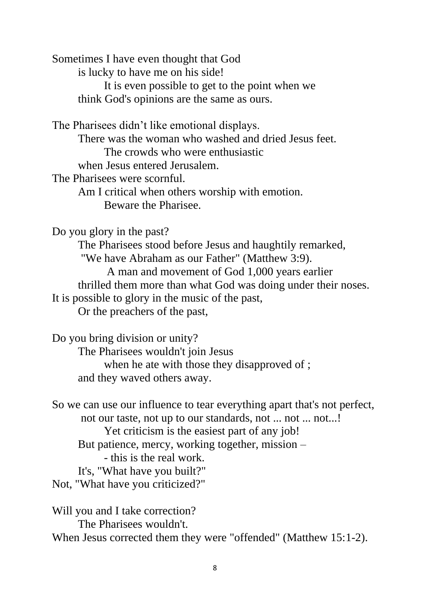Sometimes I have even thought that God is lucky to have me on his side! It is even possible to get to the point when we think God's opinions are the same as ours.

The Pharisees didn't like emotional displays. There was the woman who washed and dried Jesus feet. The crowds who were enthusiastic when Jesus entered Jerusalem. The Pharisees were scornful. Am I critical when others worship with emotion. Beware the Pharisee.

Do you glory in the past?

The Pharisees stood before Jesus and haughtily remarked, "We have Abraham as our Father" (Matthew 3:9). A man and movement of God 1,000 years earlier thrilled them more than what God was doing under their noses. It is possible to glory in the music of the past, Or the preachers of the past,

Do you bring division or unity?

The Pharisees wouldn't join Jesus when he ate with those they disapproved of ;

and they waved others away.

So we can use our influence to tear everything apart that's not perfect, not our taste, not up to our standards, not ... not ... not...! Yet criticism is the easiest part of any job! But patience, mercy, working together, mission – - this is the real work. It's, "What have you built?" Not, "What have you criticized?"

Will you and I take correction? The Pharisees wouldn't. When Jesus corrected them they were "offended" (Matthew 15:1-2).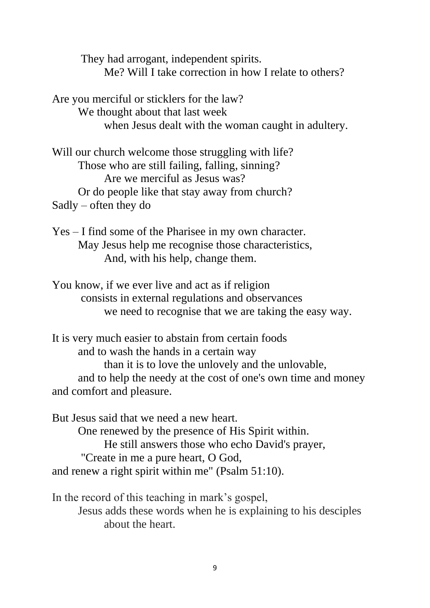They had arrogant, independent spirits. Me? Will I take correction in how I relate to others?

Are you merciful or sticklers for the law? We thought about that last week when Jesus dealt with the woman caught in adultery.

Will our church welcome those struggling with life? Those who are still failing, falling, sinning? Are we merciful as Jesus was? Or do people like that stay away from church? Sadly – often they do

Yes – I find some of the Pharisee in my own character. May Jesus help me recognise those characteristics, And, with his help, change them.

You know, if we ever live and act as if religion consists in external regulations and observances we need to recognise that we are taking the easy way.

It is very much easier to abstain from certain foods and to wash the hands in a certain way than it is to love the unlovely and the unlovable, and to help the needy at the cost of one's own time and money and comfort and pleasure.

But Jesus said that we need a new heart. One renewed by the presence of His Spirit within. He still answers those who echo David's prayer, "Create in me a pure heart, O God, and renew a right spirit within me" (Psalm 51:10).

In the record of this teaching in mark's gospel, Jesus adds these words when he is explaining to his desciples about the heart.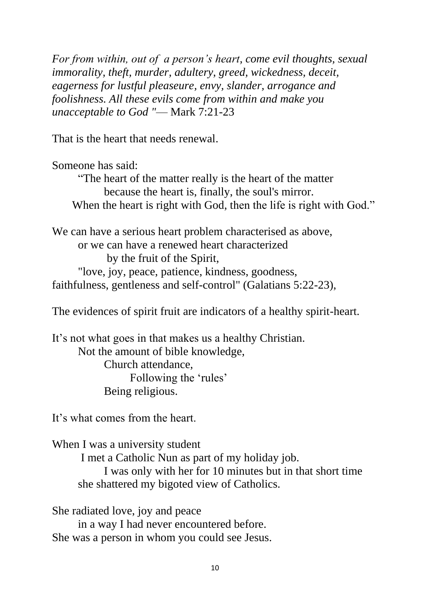*For from within, out of a person's heart, come evil thoughts, sexual immorality, theft, murder, adultery, greed, wickedness, deceit, eagerness for lustful pleaseure, envy, slander, arrogance and foolishness. All these evils come from within and make you unacceptable to God "*— Mark 7:21-23

That is the heart that needs renewal.

Someone has said:

"The heart of the matter really is the heart of the matter because the heart is, finally, the soul's mirror. When the heart is right with God, then the life is right with God."

We can have a serious heart problem characterised as above, or we can have a renewed heart characterized by the fruit of the Spirit, "love, joy, peace, patience, kindness, goodness, faithfulness, gentleness and self-control" (Galatians 5:22-23),

The evidences of spirit fruit are indicators of a healthy spirit-heart.

It's not what goes in that makes us a healthy Christian. Not the amount of bible knowledge, Church attendance, Following the 'rules' Being religious.

It's what comes from the heart.

When I was a university student I met a Catholic Nun as part of my holiday job. I was only with her for 10 minutes but in that short time she shattered my bigoted view of Catholics.

She radiated love, joy and peace in a way I had never encountered before. She was a person in whom you could see Jesus.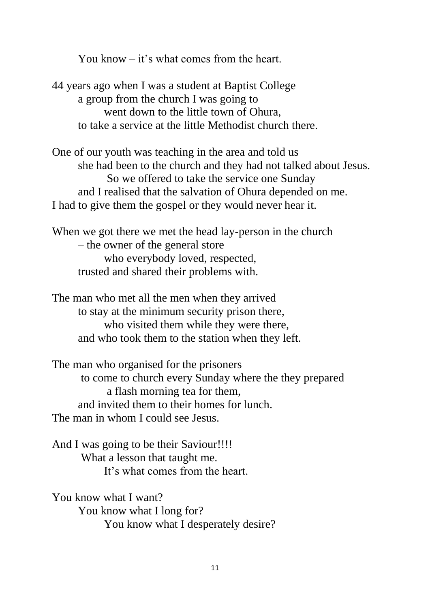You know – it's what comes from the heart.

44 years ago when I was a student at Baptist College a group from the church I was going to went down to the little town of Ohura, to take a service at the little Methodist church there.

One of our youth was teaching in the area and told us she had been to the church and they had not talked about Jesus. So we offered to take the service one Sunday and I realised that the salvation of Ohura depended on me. I had to give them the gospel or they would never hear it.

When we got there we met the head lay-person in the church – the owner of the general store who everybody loved, respected, trusted and shared their problems with.

The man who met all the men when they arrived to stay at the minimum security prison there, who visited them while they were there, and who took them to the station when they left.

The man who organised for the prisoners to come to church every Sunday where the they prepared a flash morning tea for them, and invited them to their homes for lunch. The man in whom I could see Jesus.

And I was going to be their Saviour!!!! What a lesson that taught me. It's what comes from the heart.

You know what I want? You know what I long for? You know what I desperately desire?